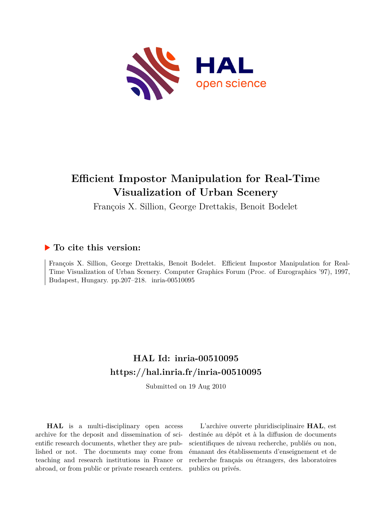

# **Efficient Impostor Manipulation for Real-Time Visualization of Urban Scenery**

François X. Sillion, George Drettakis, Benoit Bodelet

### **To cite this version:**

François X. Sillion, George Drettakis, Benoit Bodelet. Efficient Impostor Manipulation for Real-Time Visualization of Urban Scenery. Computer Graphics Forum (Proc. of Eurographics '97), 1997, Budapest, Hungary. pp.207-218. inria-00510095

## **HAL Id: inria-00510095 <https://hal.inria.fr/inria-00510095>**

Submitted on 19 Aug 2010

**HAL** is a multi-disciplinary open access archive for the deposit and dissemination of scientific research documents, whether they are published or not. The documents may come from teaching and research institutions in France or abroad, or from public or private research centers.

L'archive ouverte pluridisciplinaire **HAL**, est destinée au dépôt et à la diffusion de documents scientifiques de niveau recherche, publiés ou non, émanant des établissements d'enseignement et de recherche français ou étrangers, des laboratoires publics ou privés.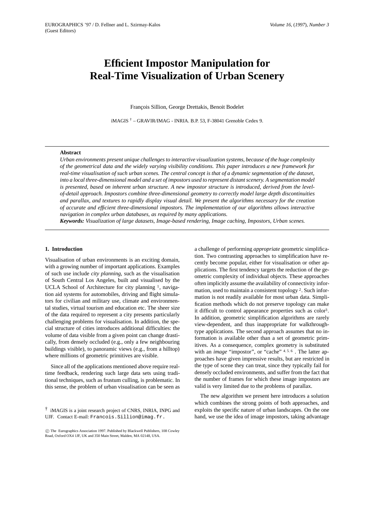### **Efficient Impostor Manipulation for Real-Time Visualization of Urban Scenery**

François Sillion, George Drettakis, Benoit Bodelet

iMAGIS  $\dagger$  – GRAVIR/IMAG - INRIA. B.P. 53, F-38041 Grenoble Cedex 9.

#### **Abstract**

*Urban environments present unique challenges to interactive visualization systems, because of the huge complexity of the geometrical data and the widely varying visibility conditions. This paper introduces a new framework for real-time visualisation of such urban scenes. The central concept is that of a dynamic segmentation of the dataset, into a local three-dimensional model and a set of impostors used to represent distant scenery. A segmentation model is presented, based on inherent urban structure. A new impostor structure is introduced, derived from the levelof-detail approach. Impostors combine three-dimensional geometry to correctly model large depth discontinuities and parallax, and textures to rapidly display visual detail. We present the algorithms necessary for the creation of accurate and efficient three-dimensional impostors. The implementation of our algorithms allows interactive navigation in complex urban databases, as required by many applications.*

*Keywords: Visualization of large datasets, Image-based rendering, Image caching, Impostors, Urban scenes.*

#### **1. Introduction**

Visualisation of urban environments is an exciting domain, with a growing number of important applications. Examples of such use include *city planning*, such as the visualisation of South Central Los Angeles, built and visualised by the UCLA School of Architecture for city planning <sup>1</sup>, navigation aid systems for automobiles, driving and flight simulators for civilian and military use, climate and environmental studies, virtual tourism and education etc. The sheer size of the data required to represent a city presents particularly challenging problems for visualisation. In addition, the special structure of cities introduces additional difficulties: the volume of data visible from a given point can change drastically, from densely occluded (e.g., only a few neighbouring buildings visible), to panoramic views (e.g., from a hilltop) where millions of geometric primitives are visible.

Since all of the applications mentioned above require realtime feedback, rendering such large data sets using traditional techniques, such as frustum culling, is problematic. In this sense, the problem of urban visualisation can be seen as

† iMAGIS is a joint research project of CNRS, INRIA, INPG and UJF. Contact E-mail: Francois.Sillion@imag.fr.

a challenge of performing *appropriate* geometric simplification. Two contrasting approaches to simplification have recently become popular, either for visualisation or other applications. The first tendency targets the reduction of the geometric complexity of individual objects. These approaches often implicitly assume the availability of connectivity information, used to maintain a consistent topology <sup>2</sup>. Such information is not readily available for most urban data. Simplification methods which do not preserve topology can make it difficult to control appearance properties such as color3. In addition, geometric simplification algorithms are rarely view-dependent, and thus inappropriate for walkthroughtype applications. The second approach assumes that no information is available other than a set of geometric primitives. As a consequence, complex geometry is substituted with an *image* "impostor", or "cache" 4,5,6. The latter approaches have given impressive results, but are restricted in the type of scene they can treat, since they typically fail for densely occluded environments, and suffer from the fact that the number of frames for which these image impostors are valid is very limited due to the problems of parallax.

The new algorithm we present here introduces a solution which combines the strong points of both approaches, and exploits the specific nature of urban landscapes. On the one hand, we use the idea of image impostors, taking advantage

c The Eurographics Association 1997. Published by Blackwell Publishers, 108 Cowley Road, Oxford OX4 1JF, UK and 350 Main Street, Malden, MA 02148, USA.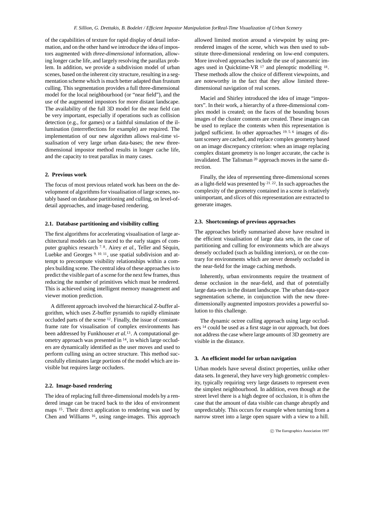of the capabilities of texture for rapid display of detail information, and on the other hand we introduce the idea of impostors augmented with *three-dimensional* information, allowing longer cache life, and largely resolving the parallax problem. In addition, we provide a subdivision model of urban scenes, based on the inherent city structure, resulting in a segmentation scheme which is much better adapted than frustum culling. This segmentation provides a full three-dimensional model for the local neighbourhood (or "near field"), and the use of the augmented impostors for more distant landscape. The availability of the full 3D model for the near field can be very important, especially if operations such as collision detection (e.g., for games) or a faithful simulation of the illumination (interreflections for example) are required. The implementation of our new algorithm allows real-time visualisation of very large urban data-bases; the new threedimensional impostor method results in longer cache life, and the capacity to treat parallax in many cases.

#### **2. Previous work**

The focus of most previous related work has been on the development of algorithms for visualisation of large scenes, notably based on database partitioning and culling, on level-ofdetail approaches, and image-based rendering.

#### **2.1. Database partitioning and visibility culling**

The first algorithms for accelerating visualisation of large architectural models can be traced to the early stages of computer graphics research <sup>7, 8</sup>. Airey *et al.*, Teller and Séquin, Luebke and Georges <sup>9</sup>, <sup>10</sup>, <sup>11</sup>, use spatial subdivision and attempt to precompute visibility relationships within a complex building scene. The central idea of these approaches is to predict the visible part of a scene for the next few frames, thus reducing the number of primitives which must be rendered. This is achieved using intelligent memory management and viewer motion prediction.

A different approach involved the hierarchical Z-buffer algorithm, which uses Z-buffer pyramids to rapidly eliminate occluded parts of the scene <sup>12</sup>. Finally, the issue of constantframe rate for visualisation of complex environments has been addressed by Funkhouser *et al.*13. A computational geometry approach was presented in <sup>14</sup>, in which large occluders are dynamically identified as the user moves and used to perform culling using an octree structure. This method successfully eliminates large portions of the model which are invisible but requires large occluders.

#### **2.2. Image-based rendering**

The idea of replacing full three-dimensional models by a rendered image can be traced back to the idea of environment maps <sup>15</sup>. Their direct application to rendering was used by Chen and Williams <sup>16</sup>, using range-images. This approach

allowed limited motion around a viewpoint by using prerendered images of the scene, which was then used to substitute three-dimensional rendering on low-end computers. More involved approaches include the use of panoramic images used in Quicktime-VR <sup>17</sup> and plenoptic modelling <sup>18</sup>. These methods allow the choice of different viewpoints, and are noteworthy in the fact that they allow limited threedimensional navigation of real scenes.

Maciel and Shirley introduced the idea of image "impostors". In their work, a hierarchy of a three-dimensional complex model is created; on the faces of the bounding boxes images of the cluster contents are created. These images can be used to replace the contents when this representation is judged sufficient. In other approaches <sup>19, 5, 6</sup> images of distant scenery are cached, and replace complex geometry based on an image discrepancy criterion: when an image replacing complex distant geometry is no longer accurate, the cache is invalidated. The Talisman <sup>20</sup> approach moves in the same direction.

Finally, the idea of representing three-dimensional scenes as a light-field was presented by <sup>21</sup>, <sup>22</sup>. In such approaches the complexity of the geometry contained in a scene is relatively unimportant, and *slices* of this representation are extracted to generate images.

#### **2.3. Shortcomings of previous approaches**

The approaches briefly summarised above have resulted in the efficient visualisation of large data sets, in the case of partitioning and culling for environments which are always densely occluded (such as building interiors), or on the contrary for environments which are never densely occluded in the near-field for the image caching methods.

Inherently, urban environments require the treatment of dense occlusion in the near-field, and that of potentially large data-sets in the distant landscape. The urban data-space segmentation scheme, in conjunction with the new threedimensionally augmented impostors provides a powerful solution to this challenge.

The dynamic octree culling approach using large occluders <sup>14</sup> could be used as a first stage in our approach, but does not address the case where large amounts of 3D geometry are visible in the distance.

#### **3. An efficient model for urban navigation**

Urban models have several distinct properties, unlike other data sets. In general, they have very high geometric complexity, typically requiring very large datasets to represent even the simplest neighbourhood. In addition, even though at the street level there is a high degree of occlusion, it is often the case that the amount of data visible can change abruptly and unpredictably. This occurs for example when turning from a narrow street into a large open square with a view to a hill.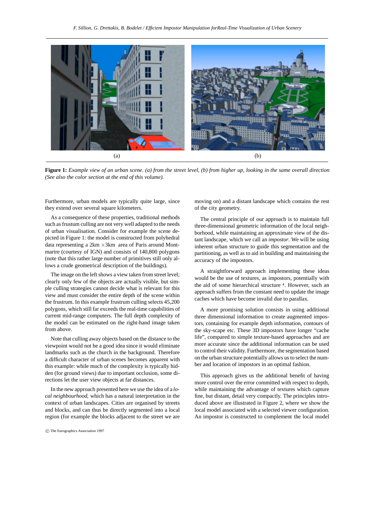

**Figure 1:** *Example view of an urban scene. (a) from the street level, (b) from higher up, looking in the same overall direction (See also the color section at the end of this volume).*

Furthermore, urban models are typically quite large, since they extend over several square kilometers.

As a consequence of these properties, traditional methods such as frustum culling are not very well adapted to the needs of urban visualisation. Consider for example the scene depicted in Figure 1: the model is constructed from polyhedral data representing a  $2km \times 3km$  area of Paris around Montmartre (courtesy of IGN) and consists of 140,800 polygons (note that this rather large number of primitives still only allows a crude geometrical description of the buildings).

The image on the left shows a view taken from street level; clearly only few of the objects are actually visible, but simple culling strategies cannot decide what is relevant for this view and must consider the entire depth of the scene within the frustrum. In this example frustrum culling selects 45,200 polygons, which still far exceeds the real-time capabilities of current mid-range computers. The full depth complexity of the model can be estimated on the right-hand image taken from above.

Note that culling away objects based on the distance to the viewpoint would not be a good idea since it would eliminate landmarks such as the church in the background. Therefore a difficult character of urban scenes becomes apparent with this example: while much of the complexity is typically hidden (for ground views) due to important occlusion, some directions let the user view objects at far distances.

In the new approach presented here we use the idea of a *local neighbourhood*, which has a natural interpretation in the context of urban landscapes. Cities are organised by streets and blocks, and can thus be directly segmented into a local region (for example the blocks adjacent to the street we are

c The Eurographics Association 1997

moving on) and a distant landscape which contains the rest of the city geometry.

The central principle of our approach is to maintain full three-dimensional geometric information of the local neighborhood, while maintaining an approximate view of the distant landscape, which we call an *impostor*. We will be using inherent urban structure to guide this segmentation and the partitioning, as well as to aid in building and maintaining the accuracy of the impostors.

A straightforward approach implementing these ideas would be the use of textures, as impostors, potentially with the aid of some hierarchical structure 4. However, such an approach suffers from the constant need to update the image caches which have become invalid due to parallax.

A more promising solution consists in using additional three dimensional information to create augmented impostors, containing for example depth information, contours of the sky-scape etc. These 3D impostors have longer "cache life", compared to simple texture-based approaches and are more accurate since the additional information can be used to control their validity. Furthermore, the segmentation based on the urban structure potentially allows us to select the number and location of impostors in an optimal fashion.

This approach gives us the additional benefit of having more control over the error committed with respect to depth, while maintaining the advantage of textures which capture fine, but distant, detail very compactly. The principles introduced above are illustrated in Figure 2, where we show the local model associated with a selected viewer configuration. An impostor is constructed to complement the local model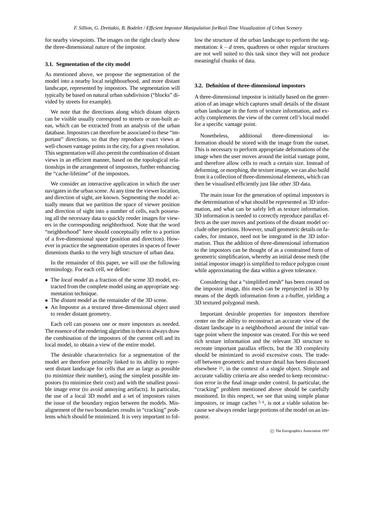for nearby viewpoints. The images on the right clearly show the three-dimensional nature of the impostor.

#### **3.1. Segmentation of the city model**

As mentioned above, we propose the segmentation of the model into a nearby local neighbourhood, and more distant landscape, represented by impostors. The segmentation will typically be based on natural urban subdivision ("blocks" divided by streets for example).

We note that the directions along which distant objects can be visible usually correspond to streets or non-built areas, which can be extracted from an analysis of the urban database. Impostors can therefore be associated to these "important" directions, so that they reproduce exact views at well-chosen vantage points in the city, for a given resolution. This segmentation will also permit the combination of distant views in an efficient manner, based on the topological relationships in the arrangement of impostors, further enhancing the "cache-lifetime" of the impostors.

We consider an interactive application in which the user navigates in the urban scene. At any time the viewer location, and direction of sight, are known. Segmenting the model actually means that we partition the space of viewer position and direction of sight into a number of cells, each possessing all the necessary data to quickly render images for viewers in the corresponding neighborhood. Note that the word "neighborhood" here should conceptually refer to a portion of a five-dimensional space (position and direction). However in practice the segmentation operates in spaces of fewer dimenions thanks to the very high structure of urban data.

In the remainder of this paper, we will use the following terminology. For each cell, we define:

- The *local model* as a fraction of the scene 3D model, extracted from the complete model using an appropriate segmentation technique.
- The *distant model* as the remainder of the 3D scene.
- An Impostor as a textured three-dimensional object used to render distant geometry.

Each cell can possess one or more impostors as needed. The essence of the rendering algorithm is then to always draw the combination of the impostors of the current cell and its local model, to obtain a view of the entire model.

The desirable characteristics for a segmentation of the model are therefore primarily linked to its ability to represent distant landscape for cells that are as large as possible (to minimize their number), using the simplest possible impostors (to minimize their cost) and with the smallest possible image error (to avoid annoying artifacts). In particular, the use of a local 3D model and a set of impostors raises the issue of the boundary region between the models. Misalignement of the two boundaries results in "cracking" problems which should be minimized. It is very important to follow the structure of the urban landscape to perform the segmentation:  $k - d$  trees, quadtrees or other regular structures are not well suited to this task since they will not produce meaningful chunks of data.

#### **3.2. Definition of three-dimensional impostors**

A three-dimensional impostor is initially based on the generation of an image which captures small details of the distant urban landscape in the form of texture information, and exactly complements the view of the current cell's local model for a specific vantage point.

Nonetheless, additional three-dimensional information should be stored with the image from the outset. This is necessary to perform appropriate deformations of the image when the user moves around the initial vantage point, and therefore allow cells to reach a certain size. Instead of deforming, or morphing, the texture image, we can also build from it a collection of three-dimensional elements, which can then be visualised efficiently just like other 3D data.

The main issue for the generation of optimal impostors is the determination of what should be represented as 3D information, and what can be safely left as texture information. 3D information is needed to correctly reproduce parallax effects as the user moves and portions of the distant model occlude other portions. However, small geometric details on facades, for instance, need not be integrated in the 3D information. Thus the addition of three-dimensional information to the impostors can be thought of as a constrained form of geometric simplification, whereby an initial dense mesh (the initial impostor image) is simplified to reduce polygon count while approximating the data within a given tolerance.

Considering that a "simplified mesh" has been created on the impostor image, this mesh can be reprojected in 3D by means of the depth information from a z-buffer, yielding a 3D textured polygonal mesh.

Important desirable properties for impostors therefore center on the ability to reconstruct an accurate view of the distant landscape in a neighborhood around the initial vantage point where the impostor was created. For this we need rich texture information and the relevant 3D structure to recreate important parallax effects, but the 3D complexity should be minimized to avoid excessive costs. The tradeoff between geometric and texture detail has been discussed elsewhere <sup>23</sup>, in the context of a single object. Simple and accurate validity criteria are also needed to keep reconstruction error in the final image under control. In particular, the "cracking" problem mentioned above should be carefully monitored. In this respect, we see that using simple planar impostors, or image caches  $5, 6$ , is not a viable solution because we always render large portions of the model on an impostor.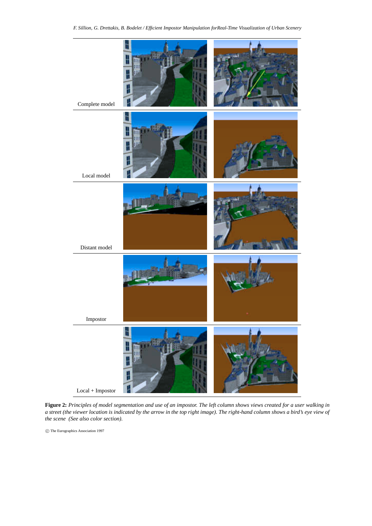*F. Sillion, G. Drettakis, B. Bodelet / Efficient Impostor Manipulation forReal-Time Visualization of Urban Scenery*



**Figure 2:** *Principles of model segmentation and use of an impostor. The left column shows views created for a user walking in a street (the viewer location is indicated by the arrow in the top right image). The right-hand column shows a bird's eye view of the scene (See also color section).*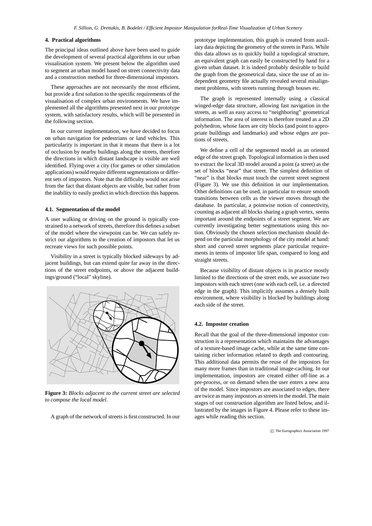#### **4. Practical algorithms**

The principal ideas outlined above have been used to guide the development of several practical algorithms in our urban visualisation system. We present below the algorithm used to segment an urban model based on street connectivity data and a construction method for three-dimensional impostors.

These approaches are not necessarily the most efficient, but provide a first solution to the specific requirements of the visualisation of complex urban environments. We have implemented all the algorithms presented next in our prototype system, with satisfactory results, which will be presented in the following section.

In our current implementation, we have decided to focus on urban navigation for pedestrians or land vehicles. This particularity is important in that it means that there is a lot of occlusion by nearby buildings along the streets, therefore the directions in which distant landscape is visible are well identified. Flying over a city (for games or other simulation applications) would require different segmentations or different sets of impostors. Note that the difficulty would not arise from the fact that distant objects are visible, but rather from the inability to easily predict in which direction this happens.

#### **4.1. Segmentation of the model**

A user walking or driving on the ground is typically constrained to a network of streets, therefore this defines a subset of the model where the viewpoint can be. We can safely restrict our algorithms to the creation of impostors that let us recreate views for such possible points.

Visibility in a street is typically blocked sideways by adjacent buildings, but can extend quite far away in the directions of the street endpoints, or above the adjacent buildings/ground ("local" skyline).



**Figure 3:** *Blocks adjacent to the current street are selected to compose the local model.*

A graph of the network of streets is first constructed. In our

prototype implementation, this graph is created from auxiliary data depicting the geometry of the streets in Paris. While this data allows us to quickly build a topological structure, an equivalent graph can easily be constructed by hand for a given urban dataset. It is indeed probably desirable to build the graph from the geometrical data, since the use of an independent geometry file actually revealed several misalignment problems, with streets running through houses etc.

The graph is represented internally using a classical winged-edge data structure, allowing fast navigation in the streets, as well as easy access to "neighboring" geometrical information. The area of interest is therefore treated as a 2D polyhedron, whose faces are city blocks (and point to appropriate buildings and landmarks) and whose edges are portions of streets.

We define a cell of the segmented model as an oriented edge of the street graph. Topological information is then used to extract the local 3D model around a point (a street) as the set of blocks "near" that street. The simplest definition of "near" is that blocks must touch the current street segment (Figure 3). We use this definition in our implementation. Other definitions can be used, in particular to ensure smooth transitions between cells as the viewer moves through the database. In particular, a pointwise notion of connectivity, counting as adjacent all blocks sharing a graph vertex, seems important around the endpoints of a street segment. We are currently investigating better segmentations using this notion. Obviously the chosen selection mechanism should depend on the particular morphology of the city model at hand: short and curved street segments place particular requirements in terms of impostor life span, compared to long and straight streets.

Because visibility of distant objects is in practice mostly limited to the directions of the street ends, we associate two impostors with each street (one with each cell, i.e. a directed edge in the graph). This implicitly assumes a densely built environment, where visibility is blocked by buildings along each side of the street.

#### **4.2. Impostor creation**

Recall that the goal of the three-dimensional impostor construction is a representation which maintains the advantages of a texture-based image cache, while at the same time containing richer information related to depth and contouring. This additional data permits the reuse of the impostors for many more frames than in traditional image-caching. In our implementation, impostors are created either off-line as a pre-process, or on demand when the user enters a new area of the model. Since impostors are associated to edges, there are twice as many impostors as streets in the model. The main stages of our construction algorithm are listed below, and illustrated by the images in Figure 4. Please refer to these images while reading this section.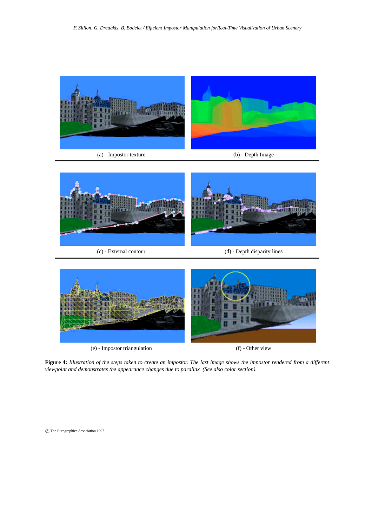

(a) - Impostor texture (b) - Depth Image





**Figure 4:** *Illustration of the steps taken to create an impostor. The last image shows the impostor rendered from a different viewpoint and demonstrates the appearance changes due to parallax (See also color section).*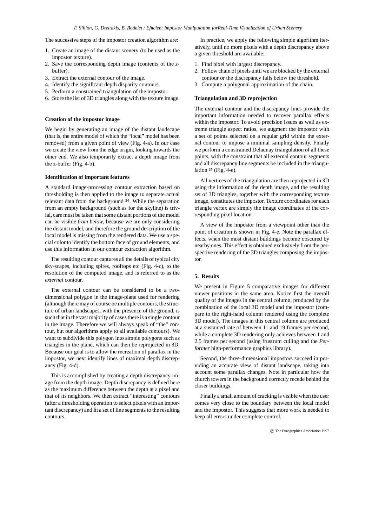The successive steps of the impostor creation algorithm are:

- 1. Create an image of the distant scenery (to be used as the impostor texture).
- 2. Save the corresponding depth image (contents of the *z*buffer).
- 3. Extract the external contour of the image.
- 4. Identify the significant depth disparity contours.
- 5. Perform a constrained triangulation of the impostor.
- 6. Store the list of 3D triangles along with the texture image.

#### **Creation of the impostor image**

We begin by generating an image of the distant landscape (that is, the entire model of which the "local" model has been removed) from a given point of view (Fig. 4-a). In our case we create the view from the edge origin, looking towards the other end. We also temporarily extract a depth image from the z-buffer (Fig. 4-b).

#### **Identification of important features**

A standard image-processing contour extraction based on thresholding is then applied to the image to separate actual relevant data from the background <sup>24</sup>. While the separation from an empty background (such as for the skyline) is trivial, care must be taken that some distant portions of the model can be visible *from below*, because we are only considering the distant model, and therefore the ground description of the local model is missing from the rendered data. We use a special color to identify the bottom face of ground elements, and use this information in our contour extraction algorithm.

The resulting contour captures all the details of typical city sky-scapes, including spires, rooftops etc (Fig. 4-c), to the resolution of the computed image, and is referred to as the *external* contour.

The external contour can be considered to be a twodimensional polygon in the image-plane used for rendering (although there may of course be multiple contours, the structure of urban landscapes, with the presence of the ground, is such that in the vast majority of cases there is a single contour in the image. Therefore we will always speak of "the" contour, but our algorithms apply to all available contours). We want to subdivide this polygon into simple polygons such as triangles in the plane, which can then be reprojected in 3D. Because our goal is to allow the recreation of parallax in the impostor, we next identify lines of maximal depth discrepancy (Fig. 4-d).

This is accomplished by creating a depth discrepancy image from the depth image. Depth discrepancy is defined here as the maximum difference between the depth at a pixel and that of its neighbors. We then extract "interesting" contours (after a thresholding operation to select pixels with an important discrepancy) and fit a set of line segments to the resulting contours.

In practice, we apply the following simple algorithm iteratively, until no more pixels with a depth discrepancy above a given threshold are available:

- 1. Find pixel with largest discrepancy.
- 2. Follow chain of pixels until we are blocked by the external contour or the discrepancy falls below the threshold.
- 3. Compute a polygonal approximation of the chain.

#### **Triangulation and 3D reprojection**

The external contour and the discrepancy lines provide the important information needed to recover parallax effects within the impostor. To avoid precision issues as well as extreme triangle aspect ratios, we augment the impostor with a set of points selected on a regular grid within the external contour to impose a minimal sampling density. Finally we perform a constrained Delaunay triangulation of all these points, with the constraint that all external contour segments and all discrepancy line segments be included in the triangulation  $25$  (Fig. 4-e).

All vertices of the triangulation are then reprojected in 3D using the information of the depth image, and the resulting set of 3D triangles, together with the corresponding texture image, constitutes the impostor. Texture coordinates for each triangle vertex are simply the image coordinates of the corresponding pixel location.

A view of the impostor from a viewpoint other than the point of creation is shown in Fig. 4-e. Note the parallax effects, when the most distant buildings become obscured by nearby ones. This effect is obtained exclusively from the perspective rendering of the 3D triangles composing the impostor.

#### **5. Results**

We present in Figure 5 comparative images for different viewer positions in the same area. Notice first the overall quality of the images in the central column, produced by the combination of the local 3D model and the impostor (compare to the right-hand column rendered using the complete 3D model). The images in this central column are produced at a sustained rate of between 11 and 19 frames per second, while a complete 3D rendering only achieves between 1 and 2.5 frames per second (using frustrum culling and the *Performer* high-performance graphics library).

Second, the three-dimensional impostors succeed in providing an accurate view of distant landscape, taking into account some parallax changes. Note in particular how the church towers in the background correctly recede behind the closer buildings.

Finally a small amount of cracking is visible when the user comes very close to the boundary between the local model and the impostor. This suggests that more work is needed to keep all errors under complete control.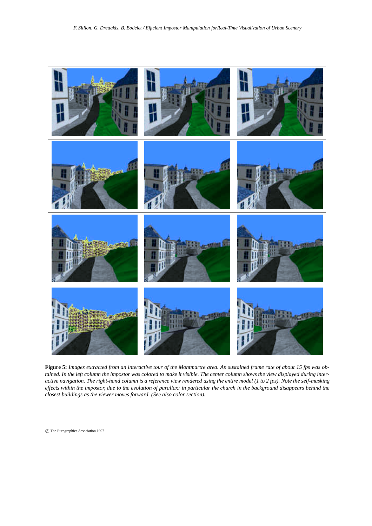

**Figure 5:** *Images extracted from an interactive tour of the Montmartre area. An sustained frame rate of about 15 fps was obtained. In the left column the impostor was colored to make it visible. The center column shows the view displayed during interactive navigation. The right-hand column is a reference view rendered using the entire model (1 to 2 fps). Note the self-masking effects within the impostor, due to the evolution of parallax: in particular the church in the background disappears behind the closest buildings as the viewer moves forward (See also color section).*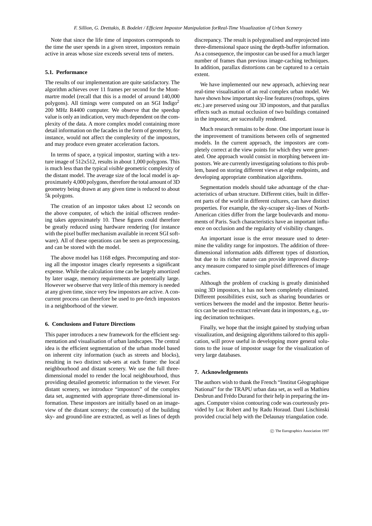Note that since the life time of impostors corresponds to the time the user spends in a given street, impostors remain active in areas whose size exceeds several tens of meters.

#### **5.1. Performance**

The results of our implementation are quite satisfactory. The algorithm achieves over 11 frames per second for the Montmartre model (recall that this is a model of around 140,000 polygons). All timings were computed on an SGI Indigo<sup>2</sup> 200 MHz R4400 computer. We observe that the speedup value is only an indication, very much dependent on the complexity of the data. A more complex model containing more detail information on the facades in the form of geometry, for instance, would not affect the complexity of the impostors, and may produce even greater acceleration factors.

In terms of space, a typical impostor, starting with a texture image of 512x512, results in about 1,000 polygons. This is much less than the typical *visible* geometric complexity of the distant model. The average size of the local model is approximately 4,000 polygons, therefore the total amount of 3D geometry being drawn at any given time is reduced to about 5k polygons.

The creation of an impostor takes about 12 seconds on the above computer, of which the initial offscreen rendering takes approximately 10. These figures could therefore be greatly reduced using hardware rendering (for instance with the pixel buffer mechanism available in recent SGI software). All of these operations can be seen as preprocessing, and can be stored with the model.

The above model has 1168 edges. Precomputing and storing all the impostor images clearly represents a significant expense. While the calculation time can be largely amortized by later usage, memory requirements are potentially large. However we observe that very little of this memory is needed at any given time, since very few impostors are active. A concurrent process can therefore be used to pre-fetch impostors in a neighborhood of the viewer.

#### **6. Conclusions and Future Directions**

This paper introduces a new framework for the efficient segmentation and visualisation of urban landscapes. The central idea is the efficient segmentation of the urban model based on inherent city information (such as streets and blocks), resulting in two distinct sub-sets at each frame: the local neighbourhood and distant scenery. We use the full threedimensional model to render the local neighbourhood, thus providing detailed geometric information to the viewer. For distant scenery, we introduce "impostors" of the complex data set, augmented with appropriate three-dimensional information. These impostors are initially based on an imageview of the distant scenery; the contour(s) of the building sky- and ground-line are extracted, as well as lines of depth

discrepancy. The result is polygonalised and reprojected into three-dimensional space using the depth-buffer information. As a consequence, the impostor can be used for a much larger number of frames than previous image-caching techniques. In addition, parallax distortions can be captured to a certain extent.

We have implemented our new approach, achieving near real-time visualisation of an real complex urban model. We have shown how important sky-line features (rooftops, spires etc.) are preserved using our 3D impostors, and that parallax effects such as mutual occlusion of two buildings contained in the impostor, are sucessfully rendered.

Much research remains to be done. One important issue is the improvement of transitions between cells of segmented models. In the current approach, the impostors are completely correct at the view points for which they were generated. One approach would consist in morphing between impostors. We are currently investigating solutions to this problem, based on storing different views at edge endpoints, and developing appropriate combination algorithms.

Segmentation models should take advantage of the characteristics of urban structure. Different cities, built in different parts of the world in different cultures, can have distinct properties. For example, the sky-scraper sky-lines of North-American cities differ from the large boulevards and monuments of Paris. Such characteristics have an important influence on occlusion and the regularity of visibility changes.

An important issue is the error measure used to determine the validity range for impostors. The addition of threedimensional information adds different types of distortion, but due to its richer nature can provide improved discrepancy measure compared to simple pixel differences of image caches.

Although the problem of cracking is greatly diminished using 3D impostors, it has not been completely eliminated. Different possibilities exist, such as sharing boundaries or vertices between the model and the impostor. Better heuristics can be used to extract relevant data in impostors, e.g., using decimation techniques.

Finally, we hope that the insight gained by studying urban visualization, and designing algorithms tailored to this application, will prove useful in developping more general solutions to the issue of impostor usage for the visualization of very large databases.

#### **7. Acknowledgements**

The authors wish to thank the French "Institut Géographique National" for the TRAPU urban data set, as well as Mathieu Desbrun and Frédo Durand for their help in preparing the images. Computer vision contouring code was courteously provided by Luc Robert and by Radu Horaud. Dani Lischinski provided crucial help with the Delaunay triangulation code.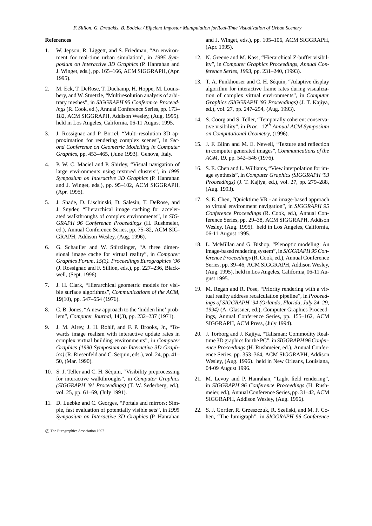#### **References**

- 1. W. Jepson, R. Liggett, and S. Friedman, "An environment for real-time urban simulation", in *1995 Symposium on Interactive 3D Graphics* (P. Hanrahan and J. Winget, eds.), pp. 165–166, ACM SIGGRAPH, (Apr. 1995).
- 2. M. Eck, T. DeRose, T. Duchamp, H. Hoppe, M. Lounsbery, and W. Stuetzle, "Multiresolution analysis of arbitrary meshes", in *SIGGRAPH 95 Conference Proceedings*(R. Cook, ed.), Annual Conference Series, pp. 173– 182, ACM SIGGRAPH, Addison Wesley, (Aug. 1995). held in Los Angeles, California, 06-11 August 1995.
- 3. J. Rossignac and P. Borrel, "Multi-resolution 3D approximation for rendering complex scenes", in *Second Conference on Geometric Modelling in Computer Graphics*, pp. 453–465, (June 1993). Genova, Italy.
- 4. P. W. C. Maciel and P. Shirley, "Visual navigation of large environments using textured clusters", in *1995 Symposium on Interactive 3D Graphics* (P. Hanrahan and J. Winget, eds.), pp. 95–102, ACM SIGGRAPH, (Apr. 1995).
- 5. J. Shade, D. Lischinski, D. Salesin, T. DeRose, and J. Snyder, "Hierarchical image caching for accelerated walkthroughs of complex environments", in *SIG-GRAPH 96 Conference Proceedings* (H. Rushmeier, ed.), Annual Conference Series, pp. 75–82, ACM SIG-GRAPH, Addison Wesley, (Aug. 1996).
- 6. G. Schaufler and W. Stürzlinger, "A three dimensional image cache for virtual reality", in *Computer Graphics Forum, 15(3). Proceedings Eurographics '96* (J. Rossignac and F. Sillion, eds.), pp. 227–236, Blackwell, (Sept. 1996).
- 7. J. H. Clark, "Hierarchical geometric models for visible surface algorithms", *Communications of the ACM*, **19**(10), pp. 547–554 (1976).
- 8. C. B. Jones, "A new approach to the 'hidden line' problem", *Computer Journal*, **14**(3), pp. 232–237 (1971).
- 9. J. M. Airey, J. H. Rohlf, and F. P. Brooks, Jr., "Towards image realism with interactive update rates in complex virtual building environments", in *Computer Graphics (1990 Symposium on Interactive 3D Graphics)* (R. Riesenfeld and C. Sequin, eds.), vol. 24, pp. 41– 50, (Mar. 1990).
- 10. S. J. Teller and C. H. Séquin, "Visibility preprocessing for interactive walkthroughs", in *Computer Graphics (SIGGRAPH '91 Proceedings)* (T. W. Sederberg, ed.), vol. 25, pp. 61–69, (July 1991).
- 11. D. Luebke and C. Georges, "Portals and mirrors: Simple, fast evaluation of potentially visible sets", in *1995 Symposium on Interactive 3D Graphics* (P. Hanrahan

c The Eurographics Association 1997

and J. Winget, eds.), pp. 105–106, ACM SIGGRAPH, (Apr. 1995).

- 12. N. Greene and M. Kass, "Hierarchical Z-buffer visibility", in *Computer Graphics Proceedings, Annual Conference Series, 1993*, pp. 231–240, (1993).
- 13. T. A. Funkhouser and C. H. Séquin, "Adaptive display algorithm for interactive frame rates during visualization of complex virtual environments", in *Computer Graphics (SIGGRAPH '93 Proceedings)* (J. T. Kajiya, ed.), vol. 27, pp. 247–254, (Aug. 1993).
- 14. S. Coorg and S. Teller, "Temporally coherent conservative visibility", in *Proc.* 12*th Annual ACM Symposium on Computational Geometry*, (1996).
- 15. J. F. Blinn and M. E. Newell, "Texture and reflection in computer generated images", *Communications of the ACM*, **19**, pp. 542–546 (1976).
- 16. S. E. Chen and L. Williams, "View interpolation for image synthesis", in *Computer Graphics (SIGGRAPH '93 Proceedings)* (J. T. Kajiya, ed.), vol. 27, pp. 279–288, (Aug. 1993).
- 17. S. E. Chen, "Quicktime VR an image-based approach to virtual environment navigation", in *SIGGRAPH 95 Conference Proceedings* (R. Cook, ed.), Annual Conference Series, pp. 29–38, ACM SIGGRAPH, Addison Wesley, (Aug. 1995). held in Los Angeles, California, 06-11 August 1995.
- 18. L. McMillan and G. Bishop, "Plenoptic modeling: An image-based rendering system", in *SIGGRAPH 95 Conference Proceedings*(R. Cook, ed.), Annual Conference Series, pp. 39–46, ACM SIGGRAPH, Addison Wesley, (Aug. 1995). held in Los Angeles, California, 06-11 August 1995.
- 19. M. Regan and R. Pose, "Priority rendering with a virtual reality address recalculation pipeline", in *Proceedings of SIGGRAPH '94 (Orlando, Florida, July 24–29, 1994)* (A. Glassner, ed.), Computer Graphics Proceedings, Annual Conference Series, pp. 155–162, ACM SIGGRAPH, ACM Press, (July 1994).
- 20. J. Torborg and J. Kajiya, "Talisman: Commodity Realtime 3D graphics for the PC", in *SIGGRAPH 96 Conference Proceedings* (H. Rushmeier, ed.), Annual Conference Series, pp. 353–364, ACM SIGGRAPH, Addison Wesley, (Aug. 1996). held in New Orleans, Louisiana, 04-09 August 1996.
- 21. M. Levoy and P. Hanrahan, "Light field rendering", in *SIGGRAPH 96 Conference Proceedings* (H. Rushmeier, ed.), Annual Conference Series, pp. 31–42, ACM SIGGRAPH, Addison Wesley, (Aug. 1996).
- 22. S. J. Gortler, R. Grzeszczuk, R. Szeliski, and M. F. Cohen, "The lumigraph", in *SIGGRAPH 96 Conference*